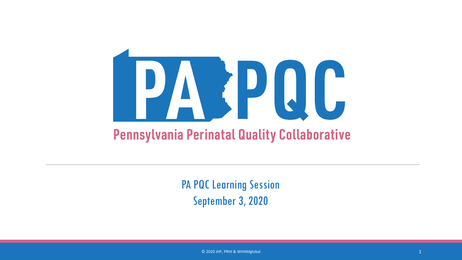

PA PQC Learning Session September 3, 2020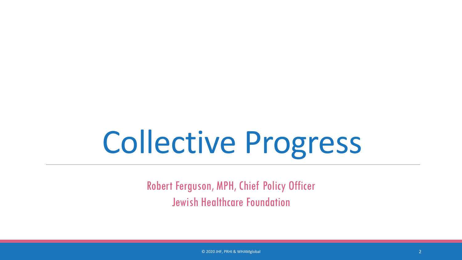# Collective Progress

Robert Ferguson, MPH, Chief Policy Officer Jewish Healthcare Foundation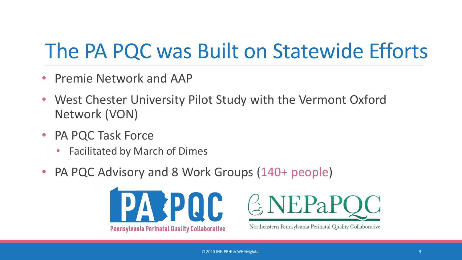### The PA PQC was Built on Statewide Efforts

- Premie Network and AAP
- West Chester University Pilot Study with the Vermont Oxford Network (VON)
- PA PQC Task Force
	- Facilitated by March of Dimes
- PA PQC Advisory and 8 Work Groups (140+ people)





Northeastern Pennsylvania Perinatal Quality Collaborative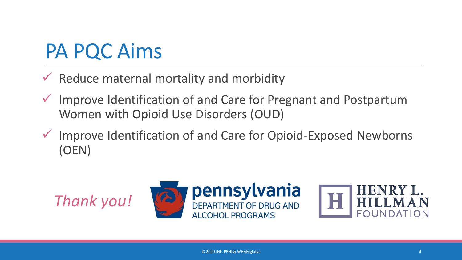#### PA PQC Aims

- $\checkmark$  Reduce maternal mortality and morbidity
- Improve Identification of and Care for Pregnant and Postpartum Women with Opioid Use Disorders (OUD)
- $\checkmark$  Improve Identification of and Care for Opioid-Exposed Newborns (OEN)

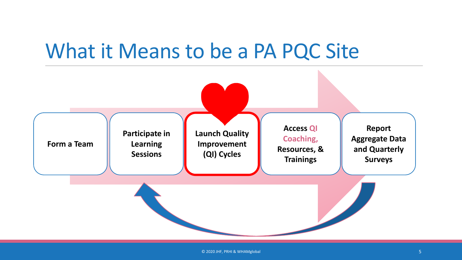#### What it Means to be a PA PQC Site



© 2020 JHF, PRHI & WHAMglobal 5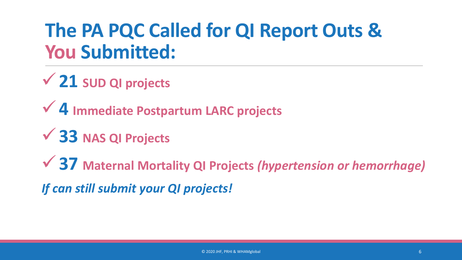#### **The PA PQC Called for QI Report Outs & You Submitted:**

**21 SUD QI projects**

**4 Immediate Postpartum LARC projects**

**33 NAS QI Projects**

**37 Maternal Mortality QI Projects** *(hypertension or hemorrhage)*

*If can still submit your QI projects!*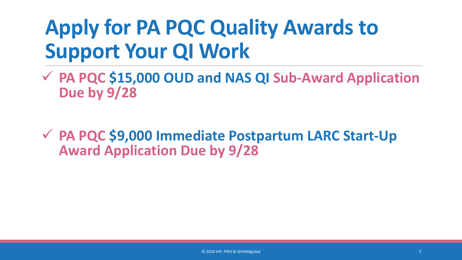### **Apply for PA PQC Quality Awards to Support Your QI Work**

 **PA PQC \$15,000 OUD and NAS QI Sub-Award Application Due by 9/28** 

 **PA PQC \$9,000 Immediate Postpartum LARC Start-Up Award Application Due by 9/28**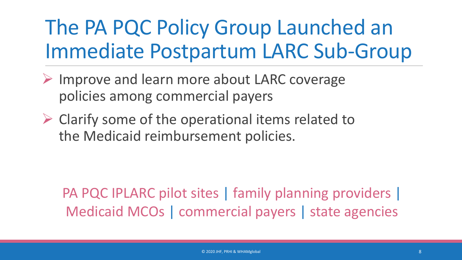### The PA PQC Policy Group Launched an Immediate Postpartum LARC Sub-Group

- $\triangleright$  Improve and learn more about LARC coverage policies among commercial payers
- $\triangleright$  Clarify some of the operational items related to the Medicaid reimbursement policies.

PA PQC IPLARC pilot sites | family planning providers | Medicaid MCOs | commercial payers | state agencies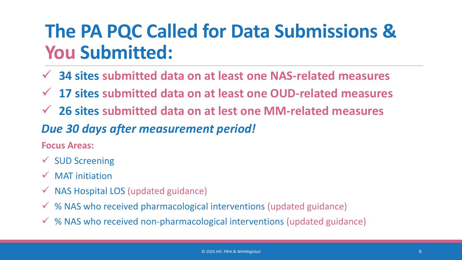#### **The PA PQC Called for Data Submissions & You Submitted:**

- **34 sites submitted data on at least one NAS-related measures**
- **17 sites submitted data on at least one OUD-related measures**
- **26 sites submitted data on at lest one MM-related measures**

#### *Due 30 days after measurement period!*

**Focus Areas:**

- $\checkmark$  SUD Screening
- $\sqrt{MAT}$  initiation
- $\checkmark$  NAS Hospital LOS (updated guidance)
- % NAS who received pharmacological interventions (updated guidance)
- $\checkmark$  % NAS who received non-pharmacological interventions (updated guidance)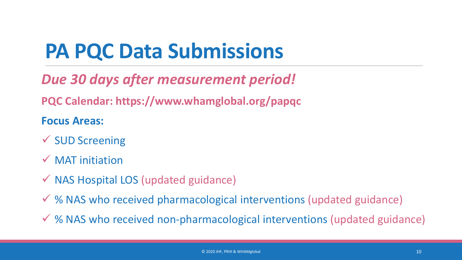## **PA PQC Data Submissions**

#### *Due 30 days after measurement period!*

**PQC Calendar: https://www.whamglobal.org/papqc**

#### **Focus Areas:**

- $\checkmark$  SUD Screening
- $\checkmark$  MAT initiation
- $\checkmark$  NAS Hospital LOS (updated guidance)
- $\checkmark$  % NAS who received pharmacological interventions (updated guidance)
- % NAS who received non-pharmacological interventions (updated guidance)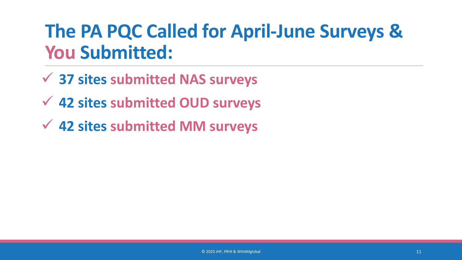#### **The PA PQC Called for April-June Surveys & You Submitted:**

- **37 sites submitted NAS surveys**
- **42 sites submitted OUD surveys**
- **42 sites submitted MM surveys**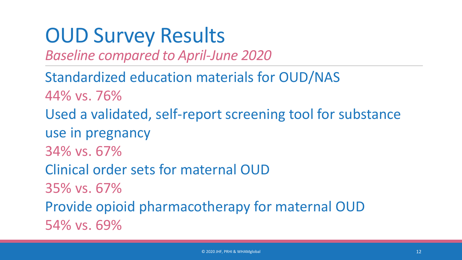#### OUD Survey Results

*Baseline compared to April-June 2020*

Standardized education materials for OUD/NAS 44% vs. 76% Used a validated, self-report screening tool for substance use in pregnancy 34% vs. 67% Clinical order sets for maternal OUD 35% vs. 67% Provide opioid pharmacotherapy for maternal OUD 54% vs. 69%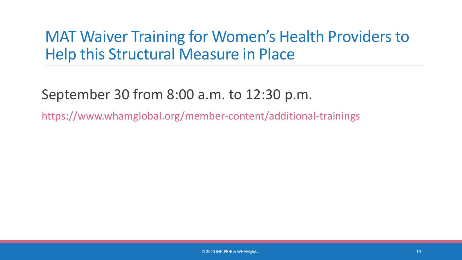#### MAT Waiver Training for Women's Health Providers to Help this Structural Measure in Place

#### September 30 from 8:00 a.m. to 12:30 p.m.

https://www.whamglobal.org/member-content/additional-trainings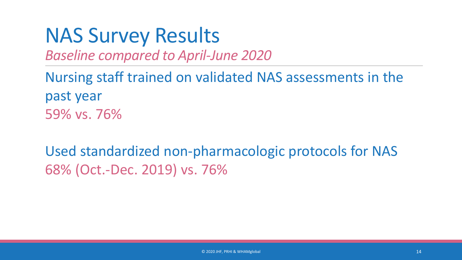#### NAS Survey Results

*Baseline compared to April-June 2020*

Nursing staff trained on validated NAS assessments in the past year 59% vs. 76%

Used standardized non-pharmacologic protocols for NAS 68% (Oct.-Dec. 2019) vs. 76%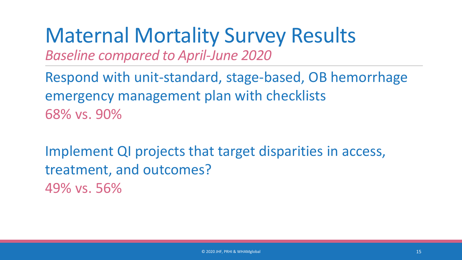#### Maternal Mortality Survey Results *Baseline compared to April-June 2020*

Respond with unit-standard, stage-based, OB hemorrhage emergency management plan with checklists 68% vs. 90%

Implement QI projects that target disparities in access, treatment, and outcomes? 49% vs. 56%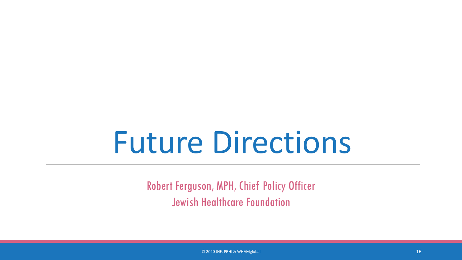# Future Directions

Robert Ferguson, MPH, Chief Policy Officer Jewish Healthcare Foundation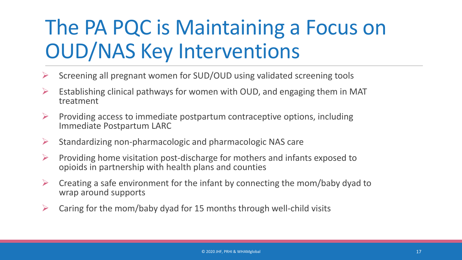### The PA PQC is Maintaining a Focus on OUD/NAS Key Interventions

- Screening all pregnant women for SUD/OUD using validated screening tools
- Establishing clinical pathways for women with OUD, and engaging them in MAT treatment
- Providing access to immediate postpartum contraceptive options, including Immediate Postpartum LARC
- $\triangleright$  Standardizing non-pharmacologic and pharmacologic NAS care
- $\triangleright$  Providing home visitation post-discharge for mothers and infants exposed to opioids in partnership with health plans and counties
- $\triangleright$  Creating a safe environment for the infant by connecting the mom/baby dyad to wrap around supports
- $\triangleright$  Caring for the mom/baby dyad for 15 months through well-child visits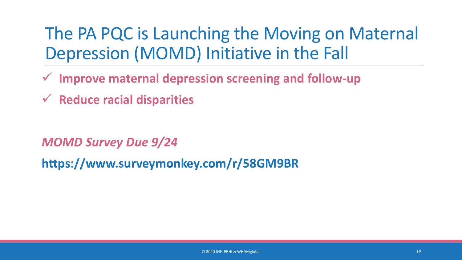The PA PQC is Launching the Moving on Maternal Depression (MOMD) Initiative in the Fall

- **Improve maternal depression screening and follow-up**
- **Reduce racial disparities**

*MOMD Survey Due 9/24*

**https://www.surveymonkey.com/r/58GM9BR**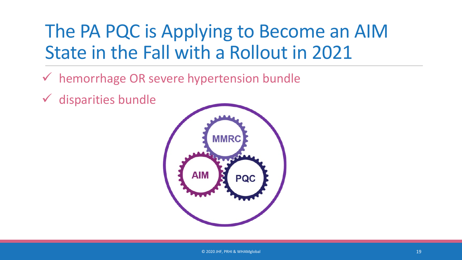#### The PA PQC is Applying to Become an AIM State in the Fall with a Rollout in 2021

- hemorrhage OR severe hypertension bundle
- $\checkmark$  disparities bundle

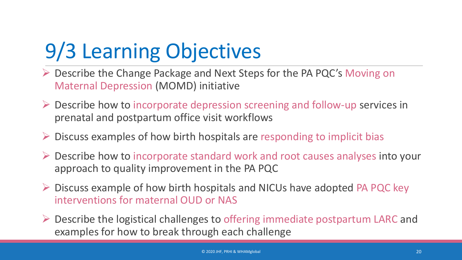## 9/3 Learning Objectives

- Describe the Change Package and Next Steps for the PA PQC's Moving on Maternal Depression (MOMD) initiative
- $\triangleright$  Describe how to incorporate depression screening and follow-up services in prenatal and postpartum office visit workflows
- $\triangleright$  Discuss examples of how birth hospitals are responding to implicit bias
- Describe how to incorporate standard work and root causes analyses into your approach to quality improvement in the PA PQC
- $\triangleright$  Discuss example of how birth hospitals and NICUs have adopted PA PQC key interventions for maternal OUD or NAS
- $\triangleright$  Describe the logistical challenges to offering immediate postpartum LARC and examples for how to break through each challenge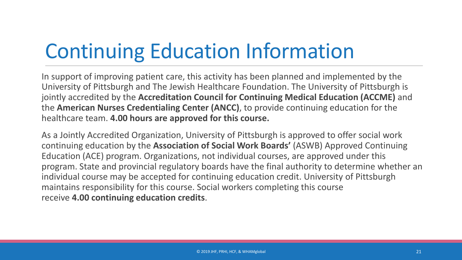## Continuing Education Information

In support of improving patient care, this activity has been planned and implemented by the University of Pittsburgh and The Jewish Healthcare Foundation. The University of Pittsburgh is jointly accredited by the **Accreditation Council for Continuing Medical Education (ACCME)** and the **American Nurses Credentialing Center (ANCC)**, to provide continuing education for the healthcare team. **4.00 hours are approved for this course.**

As a Jointly Accredited Organization, University of Pittsburgh is approved to offer social work continuing education by the **Association of Social Work Boards'** (ASWB) Approved Continuing Education (ACE) program. Organizations, not individual courses, are approved under this program. State and provincial regulatory boards have the final authority to determine whether an individual course may be accepted for continuing education credit. University of Pittsburgh maintains responsibility for this course. Social workers completing this course receive **4.00 continuing education credits**.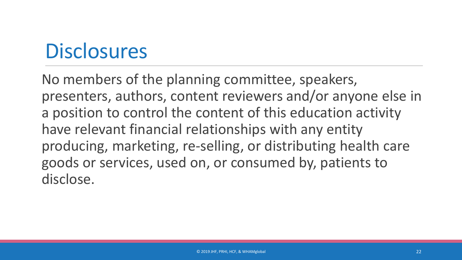#### **Disclosures**

No members of the planning committee, speakers, presenters, authors, content reviewers and/or anyone else in a position to control the content of this education activity have relevant financial relationships with any entity producing, marketing, re-selling, or distributing health care goods or services, used on, or consumed by, patients to disclose.